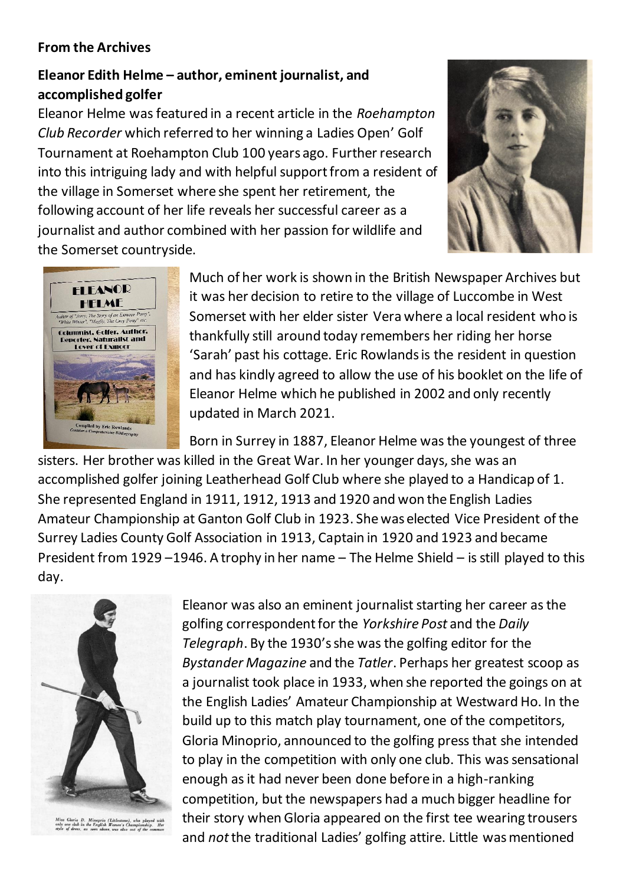## **From the Archives**

## **Eleanor Edith Helme – author, eminent journalist, and accomplished golfer**

Eleanor Helme was featured in a recent article in the *Roehampton Club Recorder* which referred to her winning a Ladies Open' Golf Tournament at Roehampton Club 100 years ago. Further research into this intriguing lady and with helpful support from a resident of the village in Somerset where she spent her retirement, the following account of her life reveals her successful career as a journalist and author combined with her passion for wildlife and the Somerset countryside.





Much of her work is shown in the British Newspaper Archives but it was her decision to retire to the village of Luccombe in West Somerset with her elder sister Vera where a local resident who is thankfully still around today remembers her riding her horse 'Sarah' past his cottage. Eric Rowlands is the resident in question and has kindly agreed to allow the use of his booklet on the life of Eleanor Helme which he published in 2002 and only recently updated in March 2021.

Born in Surrey in 1887, Eleanor Helme was the youngest of three sisters. Her brother was killed in the Great War. In her younger days, she was an accomplished golfer joining Leatherhead Golf Club where she played to a Handicap of 1. She represented England in 1911, 1912, 1913 and 1920 and won the English Ladies Amateur Championship at Ganton Golf Club in 1923. She was elected Vice President of the Surrey Ladies County Golf Association in 1913, Captain in 1920 and 1923 and became President from 1929 –1946. A trophy in her name – The Helme Shield – is still played to this day.



Miss Gloria D. Minoprio (Littlestone), who played with<br>only one club in the English Women's Championship. Her<br>style of dress, as seen above, was also out of the common

Eleanor was also an eminent journalist starting her career as the golfing correspondent for the *Yorkshire Post* and the *Daily Telegraph*. By the 1930's she was the golfing editor for the *Bystander Magazine* and the *Tatler*. Perhaps her greatest scoop as a journalist took place in 1933, when she reported the goings on at the English Ladies' Amateur Championship at Westward Ho. In the build up to this match play tournament, one of the competitors, Gloria Minoprio, announced to the golfing press that she intended to play in the competition with only one club. This was sensational enough as it had never been done before in a high-ranking competition, but the newspapers had a much bigger headline for their story when Gloria appeared on the first tee wearing trousers and *not*the traditional Ladies' golfing attire. Little was mentioned